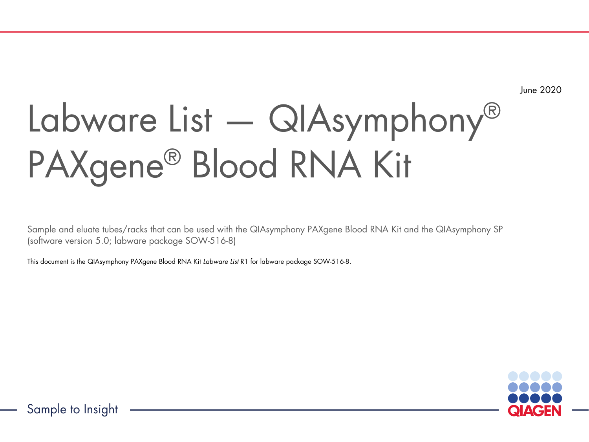June 2020

# Labware List — QIAsymphony® PAXgene® Blood RNA Kit

Sample and eluate tubes/racks that can be used with the QIAsymphony PAXgene Blood RNA Kit and the QIAsymphony SP (software version 5.0; labware package SOW-516-8)

This document is the QIAsymphony PAXgene Blood RNA Kit *Labware List* R1 for labware package SOW-516-8.

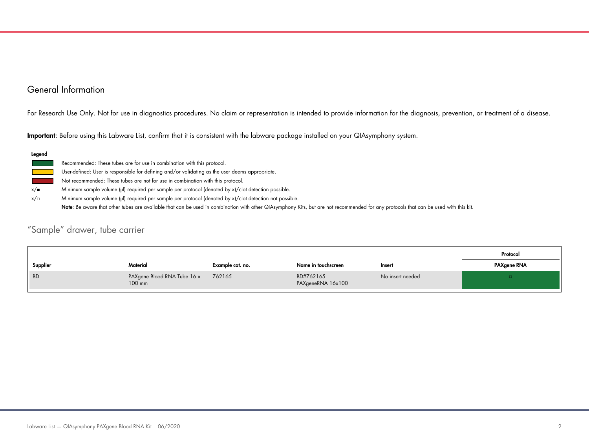### General Information

For Research Use Only. Not for use in diagnostics procedures. No claim or representation is intended to provide information for the diagnosis, prevention, or treatment of a disease.

Important: Before using this Labware List, confirm that it is consistent with the labware package installed on your QIAsymphony system.

| I |
|---|
|---|

|                  | Recommended: These tubes are for use in combination with this protocol.                                 |
|------------------|---------------------------------------------------------------------------------------------------------|
|                  | User-defined: User is responsible for defining and/or validating as the user deems appropriate.         |
|                  | Not recommended: These tubes are not for use in combination with this protocol.                         |
| $x/\blacksquare$ | Minimum sample volume (µl) required per sample per protocol (denoted by x)/clot detection possible.     |
| $x/\Box$         | Minimum sample volume (µl) required per sample per protocol (denoted by x)/clot detection not possible. |

Note: Be aware that other tubes are available that can be used in combination with other QIAsymphony Kits, but are not recommended for any protocols that can be used with this kit.

#### "Sample" drawer, tube carrier

|           |                                       |                  |                                |                  | Protocol           |
|-----------|---------------------------------------|------------------|--------------------------------|------------------|--------------------|
| Supplier  | Material                              | Example cat. no. | Name in touchscreen            | Insert           | <b>PAXgene RNA</b> |
| <b>BD</b> | PAXgene Blood RNA Tube 16 x<br>100 mm | 762165           | BD#762165<br>PAXgeneRNA 16x100 | No insert needed |                    |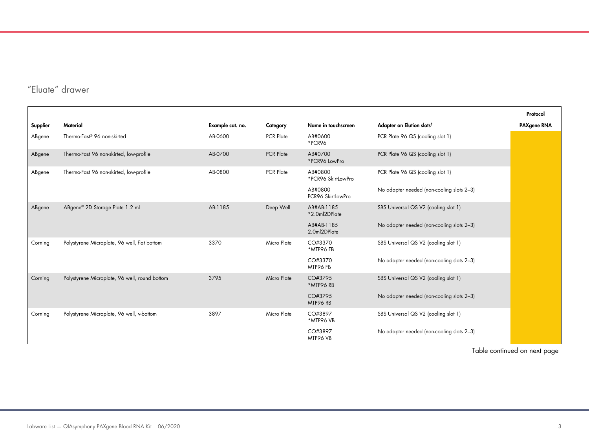## "Eluate" drawer

|          |                                               |                  |                  |                               |                                           | Protocol           |
|----------|-----------------------------------------------|------------------|------------------|-------------------------------|-------------------------------------------|--------------------|
| Supplier | Material                                      | Example cat. no. | Category         | Name in touchscreen           | Adapter on Elution slots <sup>t</sup>     | <b>PAXgene RNA</b> |
| ABgene   | Thermo-Fast® 96 non-skirted                   | AB-0600          | PCR Plate        | AB#0600<br>*PCR96             | PCR Plate 96 QS (cooling slot 1)          |                    |
| ABgene   | Thermo-Fast 96 non-skirted, low-profile       | AB-0700          | <b>PCR Plate</b> | AB#0700<br>*PCR96 LowPro      | PCR Plate 96 QS (cooling slot 1)          |                    |
| ABgene   | Thermo-Fast 96 non-skirted, low-profile       | AB-0800          | <b>PCR Plate</b> | AB#0800<br>*PCR96 SkirtLowPro | PCR Plate 96 QS (cooling slot 1)          |                    |
|          |                                               |                  |                  | AB#0800<br>PCR96 SkirtLowPro  | No adapter needed (non-cooling slots 2-3) |                    |
| ABgene   | ABgene <sup>®</sup> 2D Storage Plate 1.2 ml   | AB-1185          | Deep Well        | AB#AB-1185<br>*2.0ml2DPlate   | SBS Universal QS V2 (cooling slot 1)      |                    |
|          |                                               |                  |                  | AB#AB-1185<br>2.0ml2DPlate    | No adapter needed (non-cooling slots 2-3) |                    |
| Corning  | Polystyrene Microplate, 96 well, flat bottom  | 3370             | Micro Plate      | CO#3370<br>*MTP96 FB          | SBS Universal QS V2 (cooling slot 1)      |                    |
|          |                                               |                  |                  | CO#3370<br>MTP96 FB           | No adapter needed (non-cooling slots 2-3) |                    |
| Corning  | Polystyrene Microplate, 96 well, round bottom | 3795             | Micro Plate      | CO#3795<br>*MTP96 RB          | SBS Universal QS V2 (cooling slot 1)      |                    |
|          |                                               |                  |                  | CO#3795<br>MTP96 RB           | No adapter needed (non-cooling slots 2-3) |                    |
| Corning  | Polystyrene Microplate, 96 well, v-bottom     | 3897             | Micro Plate      | CO#3897<br>*MTP96 VB          | SBS Universal QS V2 (cooling slot 1)      |                    |
|          |                                               |                  |                  | CO#3897<br>MTP96 VB           | No adapter needed (non-cooling slots 2-3) |                    |

Table continued on next page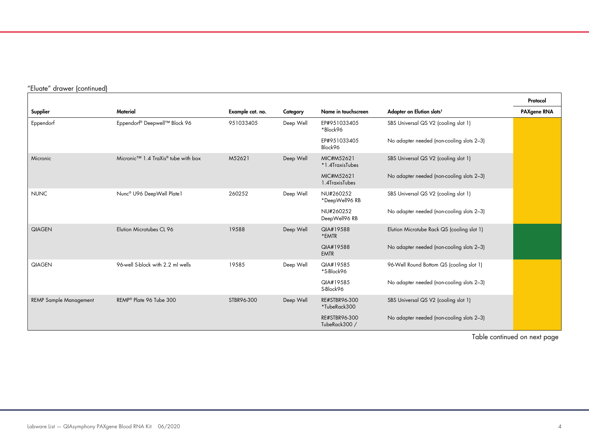"Eluate" drawer (continued)

|                               |                                                             |                  |           |                                       |                                            | Protocol           |
|-------------------------------|-------------------------------------------------------------|------------------|-----------|---------------------------------------|--------------------------------------------|--------------------|
| Supplier                      | <b>Material</b>                                             | Example cat. no. | Category  | Name in touchscreen                   | Adapter on Elution slots <sup>t</sup>      | <b>PAXgene RNA</b> |
| Eppendorf                     | Eppendorf® Deepwell™ Block 96                               | 951033405        | Deep Well | EP#951033405<br>*Block96              | SBS Universal QS V2 (cooling slot 1)       |                    |
|                               |                                                             |                  |           | EP#951033405<br>Block96               | No adapter needed (non-cooling slots 2-3)  |                    |
| Micronic                      | Micronic <sup>™</sup> 1.4 TraXis <sup>®</sup> tube with box | M52621           | Deep Well | MIC#M52621<br>*1.4TraxisTubes         | SBS Universal QS V2 (cooling slot 1)       |                    |
|                               |                                                             |                  |           | MIC#M52621<br>1.4TraxisTubes          | No adapter needed (non-cooling slots 2-3)  |                    |
| <b>NUNC</b>                   | Nunc® U96 DeepWell Plate1                                   | 260252           | Deep Well | NU#260252<br>*DeepWell96 RB           | SBS Universal QS V2 (cooling slot 1)       |                    |
|                               |                                                             |                  |           | NU#260252<br>DeepWell96 RB            | No adapter needed (non-cooling slots 2-3)  |                    |
| <b>QIAGEN</b>                 | Elution Microtubes CL 96                                    | 19588            | Deep Well | QIA#19588<br>*EMTR                    | Elution Microtube Rack QS (cooling slot 1) |                    |
|                               |                                                             |                  |           | QIA#19588<br><b>EMTR</b>              | No adapter needed (non-cooling slots 2-3)  |                    |
| <b>QIAGEN</b>                 | 96-well S-block with 2.2 ml wells                           | 19585            | Deep Well | QIA#19585<br>*S-Block96               | 96-Well Round Bottom QS (cooling slot 1)   |                    |
|                               |                                                             |                  |           | QIA#19585<br>S-Block96                | No adapter needed (non-cooling slots 2-3)  |                    |
| <b>REMP Sample Management</b> | REMP <sup>®</sup> Plate 96 Tube 300                         | STBR96-300       | Deep Well | <b>RE#STBR96-300</b><br>*TubeRack300  | SBS Universal QS V2 (cooling slot 1)       |                    |
|                               |                                                             |                  |           | <b>RE#STBR96-300</b><br>TubeRack300 / | No adapter needed (non-cooling slots 2-3)  |                    |

Table continued on next page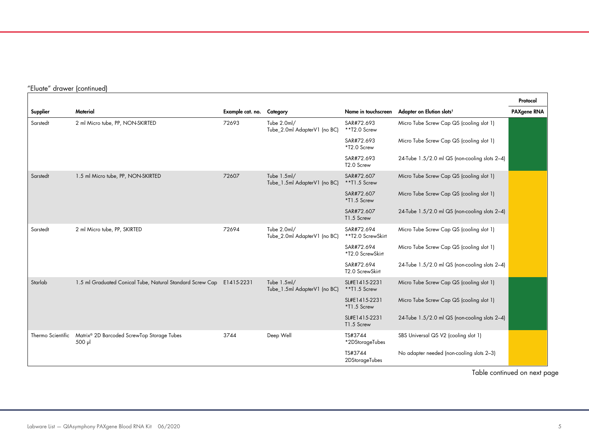"Eluate" drawer (continued)

|                   |                                                                  |                           |                                             |                                 |                                               | Protocol           |
|-------------------|------------------------------------------------------------------|---------------------------|---------------------------------------------|---------------------------------|-----------------------------------------------|--------------------|
| Supplier          | Material                                                         | Example cat. no. Category |                                             | Name in touchscreen             | Adapter on Elution slots <sup>t</sup>         | <b>PAXgene RNA</b> |
| Sarstedt          | 2 ml Micro tube, PP, NON-SKIRTED                                 | 72693                     | Tube 2.0ml/<br>Tube_2.0ml AdapterV1 (no BC) | SAR#72.693<br>**T2.0 Screw      | Micro Tube Screw Cap QS (cooling slot 1)      |                    |
|                   |                                                                  |                           |                                             | SAR#72.693<br>*T2.0 Screw       | Micro Tube Screw Cap QS (cooling slot 1)      |                    |
|                   |                                                                  |                           |                                             | SAR#72.693<br>T2.0 Screw        | 24-Tube 1.5/2.0 ml QS (non-cooling slots 2-4) |                    |
| Sarstedt          | 1.5 ml Micro tube, PP, NON-SKIRTED                               | 72607                     | Tube 1.5ml/<br>Tube_1.5ml AdapterV1 (no BC) | SAR#72.607<br>**T1.5 Screw      | Micro Tube Screw Cap QS (cooling slot 1)      |                    |
|                   |                                                                  |                           |                                             | SAR#72.607<br>*T1.5 Screw       | Micro Tube Screw Cap QS (cooling slot 1)      |                    |
|                   |                                                                  |                           |                                             | SAR#72.607<br>T1.5 Screw        | 24-Tube 1.5/2.0 ml QS (non-cooling slots 2-4) |                    |
| Sarstedt          | 2 ml Micro tube, PP, SKIRTED                                     | 72694                     | Tube 2.0ml/<br>Tube_2.0ml AdapterV1 (no BC) | SAR#72.694<br>**T2.0 ScrewSkirt | Micro Tube Screw Cap QS (cooling slot 1)      |                    |
|                   |                                                                  |                           |                                             | SAR#72.694<br>*T2.0 ScrewSkirt  | Micro Tube Screw Cap QS (cooling slot 1)      |                    |
|                   |                                                                  |                           |                                             | SAR#72.694<br>T2.0 ScrewSkirt   | 24-Tube 1.5/2.0 ml QS (non-cooling slots 2-4) |                    |
| Starlab           | 1.5 ml Graduated Conical Tube, Natural Standard Screw Cap        | E1415-2231                | Tube 1.5ml/<br>Tube_1.5ml AdapterV1 (no BC) | SL#E1415-2231<br>**T1.5 Screw   | Micro Tube Screw Cap QS (cooling slot 1)      |                    |
|                   |                                                                  |                           |                                             | SL#E1415-2231<br>*T1.5 Screw    | Micro Tube Screw Cap QS (cooling slot 1)      |                    |
|                   |                                                                  |                           |                                             | SL#E1415-2231<br>T1.5 Screw     | 24-Tube 1.5/2.0 ml QS (non-cooling slots 2-4) |                    |
| Thermo Scientific | Matrix <sup>®</sup> 2D Barcoded ScrewTop Storage Tubes<br>500 µl | 3744                      | Deep Well                                   | TS#3744<br>*2DStorageTubes      | SBS Universal QS V2 (cooling slot 1)          |                    |
|                   |                                                                  |                           |                                             | TS#3744<br>2DStorageTubes       | No adapter needed (non-cooling slots 2-3)     |                    |

Table continued on next page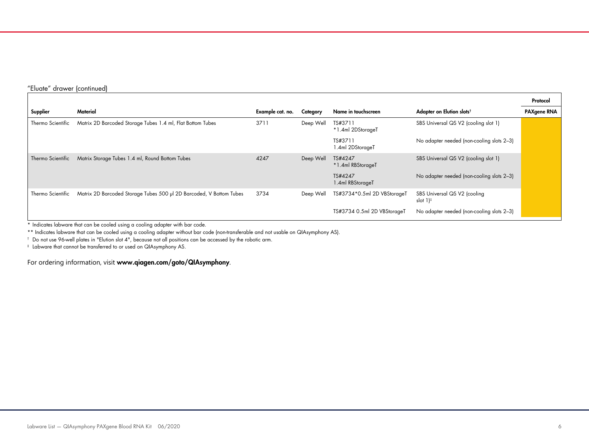"Eluate" drawer (continued)

|                   |                                                                     |                  |           |                              |                                                       | Protocol           |
|-------------------|---------------------------------------------------------------------|------------------|-----------|------------------------------|-------------------------------------------------------|--------------------|
| Supplier          | Material                                                            | Example cat. no. | Category  | Name in touchscreen          | Adapter on Elution slots <sup>t</sup>                 | <b>PAXgene RNA</b> |
| Thermo Scientific | Matrix 2D Barcoded Storage Tubes 1.4 ml, Flat Bottom Tubes          | 3711             | Deep Well | TS#3711<br>*1.4ml 2DStorageT | SBS Universal QS V2 (cooling slot 1)                  |                    |
|                   |                                                                     |                  |           | TS#3711<br>1.4ml 2DStorageT  | No adapter needed (non-cooling slots 2-3)             |                    |
| Thermo Scientific | Matrix Storage Tubes 1.4 ml, Round Bottom Tubes                     | 4247             | Deep Well | TS#4247<br>*1.4ml RBStorageT | SBS Universal QS V2 (cooling slot 1)                  |                    |
|                   |                                                                     |                  |           | TS#4247<br>1.4ml RBStorageT  | No adapter needed (non-cooling slots 2-3)             |                    |
| Thermo Scientific | Matrix 2D Barcoded Storage Tubes 500 µl 2D Barcoded, V Bottom Tubes | 3734             | Deep Well | TS#3734*0.5ml 2D VBStorageT  | SBS Universal QS V2 (cooling<br>slot $1$ <sup>+</sup> |                    |
|                   |                                                                     |                  |           | TS#3734 0.5ml 2D VBStorageT  | No adapter needed (non-cooling slots 2-3)             |                    |

\* Indicates labware that can be cooled using a cooling adapter with bar code.

\*\* Indicates labware that can be cooled using a cooling adapter without bar code (non-transferable and not usable on QIAsymphony AS).

 $^\dagger$  Do not use 96-well plates in "Elution slot 4", because not all positions can be accessed by the robotic arm.

‡ Labware that cannot be transferred to or used on QIAsymphony AS.

For ordering information, visit www.qiagen.com/goto/QIAsymphony.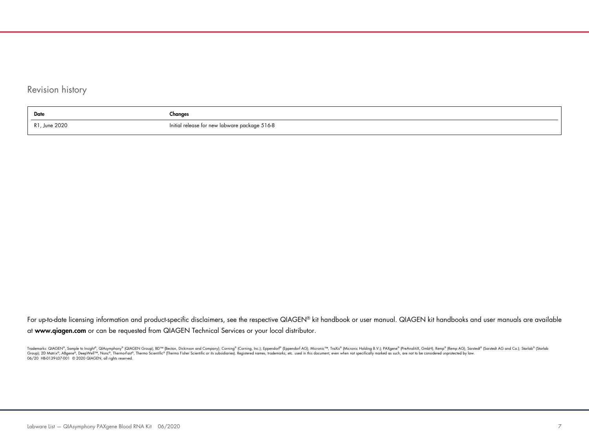#### Revision history

| Date          | Changes                                       |
|---------------|-----------------------------------------------|
| R1, June 2020 | Initial release for new labware package 516-8 |

For up-to-date licensing information and product-specific disclaimers, see the respective QIAGEN® kit handbook or user manual. QIAGEN kit handbooks and user manuals are available at www.qiagen.com or can be requested from QIAGEN Technical Services or your local distributor.

Trademarks: QIAGEN®, Sample to Insight®, QIAsymphony® (QIAGEN Group); BD™ (Becton, Dickinson and Company); Corning® (Corning, Inc.); Eppendorf® (Eppendorf AG); Micronic™, TraXis® (Micronic Holding B.V.); PAXgene® (PreAnal 06/20 HB-0139-L07-001 © 2020 QIAGEN, all rights reserved.